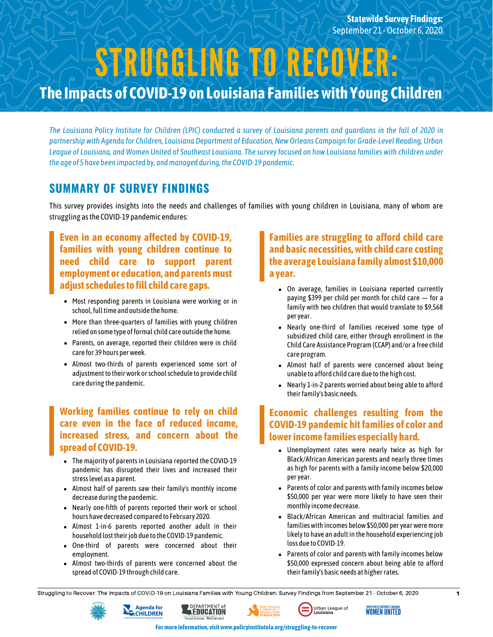**The Impacts of COVID-19 on Louisiana Familieswith Young Children** STRUGGLING TO RECOVER:

The Louisiana Policy Institute for Children (LPIC) conducted a survey of Louisiana parents and quardians in the fall of 2020 in partnership with Agenda for Children, Louisiana Department of Education, New Orleans Campaign for Grade-Level Reading, Urban League of Louisiana, and Women United of Southeast Louisiana. The survey focused on how Louisiana families with children under *the age of 5 have been impacted by, andmanaged during,the COVID-19 pandemic.*

## **SUMMARY OF SURVEY FINDINGS**

This survey provides insights into the needs and challenges of families with young children in Louisiana, many of whom are struggling asthe COVID-19 pandemic endures:

#### **Even in an economy affected by COVID-19, families with young children continue to need child care to support parent employment or education, and parentsmust adjustschedulesto fill child care gaps.**

- Most responding parents in Louisiana were working or in school, full time and outside the home.
- More than three-quarters of families with young children relied on some type of formal child care outside the home.
- Parents, on average, reported their children were in child care for 39 hours perweek.
- Almost two-thirds of parents experienced some sort of adjustment to their work or school schedule to provide child care during the pandemic.

#### **Working families continue to rely on child care even in the face of reduced income, increased stress, and concern about the spread of COVID-19.**

- The majority of parents in Louisiana reported the COVID-19 pandemic has disrupted their lives and increased their stresslevel as a parent.
- Almost half of parents saw their family's monthly income decrease during the pandemic.
- Nearly one-fifth of parents reported their work or school hours have decreased compared to February 2020.
- Almost 1-in-6 parents reported another adult in their  $\bullet$ household lost their job due to the COVID-19 pandemic.
- One-third of parents were concerned about their employment.
- Almost two-thirds of parents were concerned about the spread of COVID-19 through child care.

#### **Families are struggling to afford child care and basic necessities, with child care costing the average Louisiana family almost \$10,000 a year.**

- On average, families in Louisiana reported currently paying \$399 per child per month for child care — for a family with two children that would translate to \$9,568 peryear.
- Nearly one-third of families received some type of subsidized child care, either through enrollment in the Child Care Assistance Program (CCAP) and/or a free child care program.
- Almost half of parents were concerned about being unable to afford child care due to the high cost.
- Nearly 1-in-2 parents worried about being able to afford their family's basic needs.

#### **Economic challenges resulting from the COVID-19 pandemic hit families of color and lowerincome families especially hard.**

- Unemployment rates were nearly twice as high for Black/African American parents and nearly three times as high for parents with a family income below \$20,000 peryear.
- Parents of color and parents with family incomes below \$50,000 per year were more likely to have seen their monthly income decrease.
- Black/African American and multiracial families and families with incomes below \$50,000 per year were more likely to have an adult in the household experiencing job loss due to COVID-19.
- Parents of color and parents with family incomes below \$50,000 expressed concern about being able to afford their family's basic needs at higher rates.

Struggling to Recover: The Impacts of COVID-19 on Louisiana Families with Young Children: Survey Findings from September 21 - October 6, 2020 1

**EDUCATION** 









**Formore information, visitwww.policyinstitutela.org/struggling-to-recover**